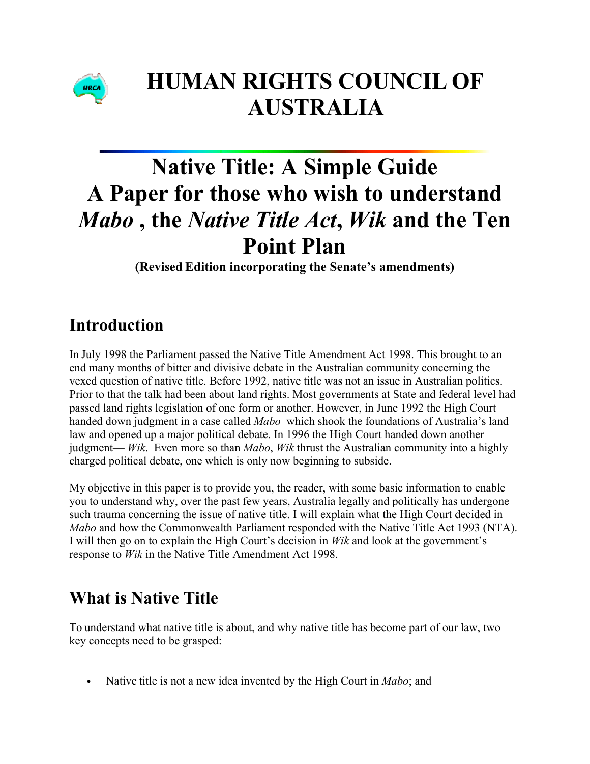

# **HUMAN RIGHTS COUNCIL OF AUSTRALIA**

# **Native Title: A Simple Guide A Paper for those who wish to understand**  *Mabo* **, the** *Native Title Act***,** *Wik* **and the Ten Point Plan**

**(Revised Edition incorporating the Senate's amendments)**

# **Introduction**

In July 1998 the Parliament passed the Native Title Amendment Act 1998. This brought to an end many months of bitter and divisive debate in the Australian community concerning the vexed question of native title. Before 1992, native title was not an issue in Australian politics. Prior to that the talk had been about land rights. Most governments at State and federal level had passed land rights legislation of one form or another. However, in June 1992 the High Court handed down judgment in a case called *Mabo* which shook the foundations of Australia's land law and opened up a major political debate. In 1996 the High Court handed down another judgment— *Wik*. Even more so than *Mabo*, *Wik* thrust the Australian community into a highly charged political debate, one which is only now beginning to subside.

My objective in this paper is to provide you, the reader, with some basic information to enable you to understand why, over the past few years, Australia legally and politically has undergone such trauma concerning the issue of native title. I will explain what the High Court decided in *Mabo* and how the Commonwealth Parliament responded with the Native Title Act 1993 (NTA). I will then go on to explain the High Court's decision in *Wik* and look at the government's response to *Wik* in the Native Title Amendment Act 1998.

# **What is Native Title**

To understand what native title is about, and why native title has become part of our law, two key concepts need to be grasped:

• Native title is not a new idea invented by the High Court in *Mabo*; and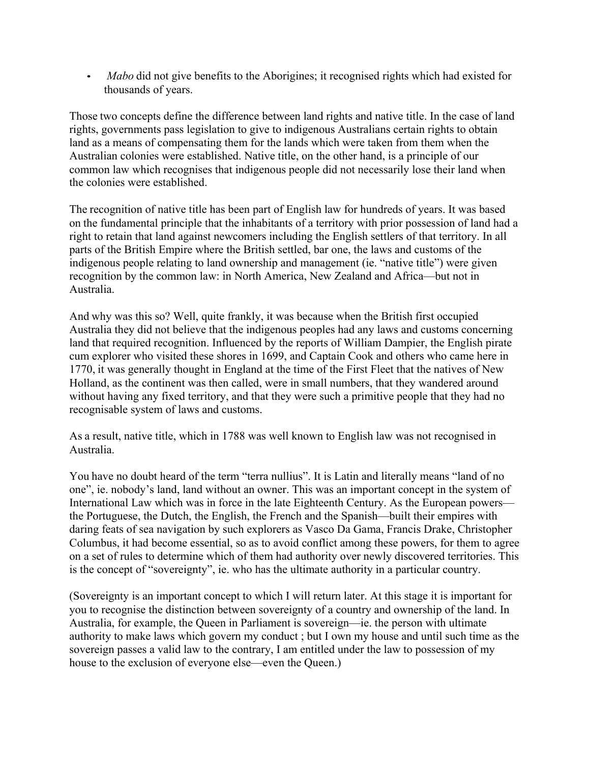• *Mabo* did not give benefits to the Aborigines; it recognised rights which had existed for thousands of years.

Those two concepts define the difference between land rights and native title. In the case of land rights, governments pass legislation to give to indigenous Australians certain rights to obtain land as a means of compensating them for the lands which were taken from them when the Australian colonies were established. Native title, on the other hand, is a principle of our common law which recognises that indigenous people did not necessarily lose their land when the colonies were established.

The recognition of native title has been part of English law for hundreds of years. It was based on the fundamental principle that the inhabitants of a territory with prior possession of land had a right to retain that land against newcomers including the English settlers of that territory. In all parts of the British Empire where the British settled, bar one, the laws and customs of the indigenous people relating to land ownership and management (ie. "native title") were given recognition by the common law: in North America, New Zealand and Africa—but not in Australia.

And why was this so? Well, quite frankly, it was because when the British first occupied Australia they did not believe that the indigenous peoples had any laws and customs concerning land that required recognition. Influenced by the reports of William Dampier, the English pirate cum explorer who visited these shores in 1699, and Captain Cook and others who came here in 1770, it was generally thought in England at the time of the First Fleet that the natives of New Holland, as the continent was then called, were in small numbers, that they wandered around without having any fixed territory, and that they were such a primitive people that they had no recognisable system of laws and customs.

As a result, native title, which in 1788 was well known to English law was not recognised in Australia.

You have no doubt heard of the term "terra nullius". It is Latin and literally means "land of no one", ie. nobody's land, land without an owner. This was an important concept in the system of International Law which was in force in the late Eighteenth Century. As the European powers the Portuguese, the Dutch, the English, the French and the Spanish—built their empires with daring feats of sea navigation by such explorers as Vasco Da Gama, Francis Drake, Christopher Columbus, it had become essential, so as to avoid conflict among these powers, for them to agree on a set of rules to determine which of them had authority over newly discovered territories. This is the concept of "sovereignty", ie. who has the ultimate authority in a particular country.

(Sovereignty is an important concept to which I will return later. At this stage it is important for you to recognise the distinction between sovereignty of a country and ownership of the land. In Australia, for example, the Queen in Parliament is sovereign—ie. the person with ultimate authority to make laws which govern my conduct ; but I own my house and until such time as the sovereign passes a valid law to the contrary, I am entitled under the law to possession of my house to the exclusion of everyone else—even the Queen.)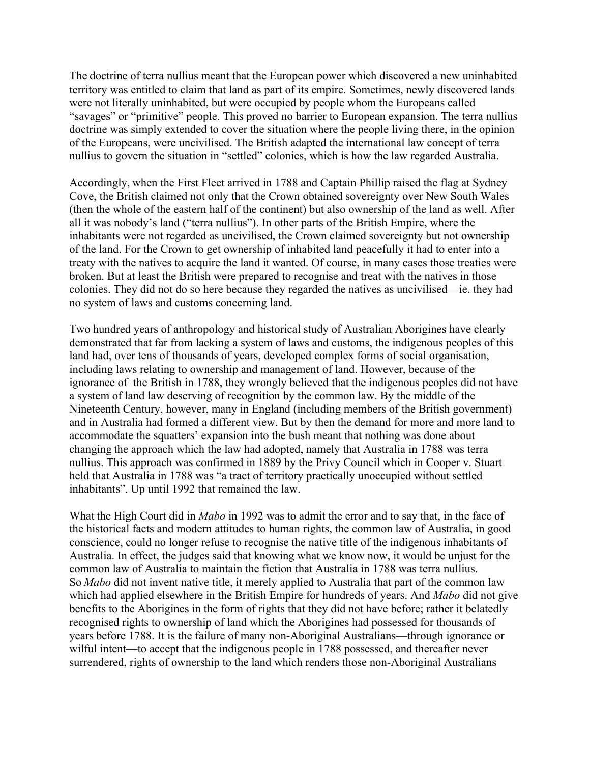The doctrine of terra nullius meant that the European power which discovered a new uninhabited territory was entitled to claim that land as part of its empire. Sometimes, newly discovered lands were not literally uninhabited, but were occupied by people whom the Europeans called "savages" or "primitive" people. This proved no barrier to European expansion. The terra nullius doctrine was simply extended to cover the situation where the people living there, in the opinion of the Europeans, were uncivilised. The British adapted the international law concept of terra nullius to govern the situation in "settled" colonies, which is how the law regarded Australia.

Accordingly, when the First Fleet arrived in 1788 and Captain Phillip raised the flag at Sydney Cove, the British claimed not only that the Crown obtained sovereignty over New South Wales (then the whole of the eastern half of the continent) but also ownership of the land as well. After all it was nobody's land ("terra nullius"). In other parts of the British Empire, where the inhabitants were not regarded as uncivilised, the Crown claimed sovereignty but not ownership of the land. For the Crown to get ownership of inhabited land peacefully it had to enter into a treaty with the natives to acquire the land it wanted. Of course, in many cases those treaties were broken. But at least the British were prepared to recognise and treat with the natives in those colonies. They did not do so here because they regarded the natives as uncivilised—ie. they had no system of laws and customs concerning land.

Two hundred years of anthropology and historical study of Australian Aborigines have clearly demonstrated that far from lacking a system of laws and customs, the indigenous peoples of this land had, over tens of thousands of years, developed complex forms of social organisation, including laws relating to ownership and management of land. However, because of the ignorance of the British in 1788, they wrongly believed that the indigenous peoples did not have a system of land law deserving of recognition by the common law. By the middle of the Nineteenth Century, however, many in England (including members of the British government) and in Australia had formed a different view. But by then the demand for more and more land to accommodate the squatters' expansion into the bush meant that nothing was done about changing the approach which the law had adopted, namely that Australia in 1788 was terra nullius. This approach was confirmed in 1889 by the Privy Council which in Cooper v. Stuart held that Australia in 1788 was "a tract of territory practically unoccupied without settled inhabitants". Up until 1992 that remained the law.

What the High Court did in *Mabo* in 1992 was to admit the error and to say that, in the face of the historical facts and modern attitudes to human rights, the common law of Australia, in good conscience, could no longer refuse to recognise the native title of the indigenous inhabitants of Australia. In effect, the judges said that knowing what we know now, it would be unjust for the common law of Australia to maintain the fiction that Australia in 1788 was terra nullius. So *Mabo* did not invent native title, it merely applied to Australia that part of the common law which had applied elsewhere in the British Empire for hundreds of years. And *Mabo* did not give benefits to the Aborigines in the form of rights that they did not have before; rather it belatedly recognised rights to ownership of land which the Aborigines had possessed for thousands of years before 1788. It is the failure of many non-Aboriginal Australians—through ignorance or wilful intent—to accept that the indigenous people in 1788 possessed, and thereafter never surrendered, rights of ownership to the land which renders those non-Aboriginal Australians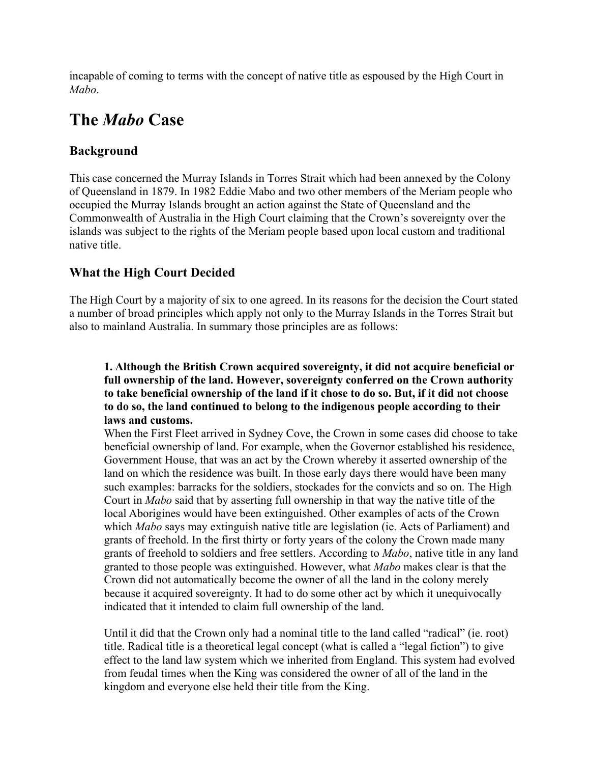incapable of coming to terms with the concept of native title as espoused by the High Court in *Mabo*.

### **The** *Mabo* **Case**

### **Background**

This case concerned the Murray Islands in Torres Strait which had been annexed by the Colony of Queensland in 1879. In 1982 Eddie Mabo and two other members of the Meriam people who occupied the Murray Islands brought an action against the State of Queensland and the Commonwealth of Australia in the High Court claiming that the Crown's sovereignty over the islands was subject to the rights of the Meriam people based upon local custom and traditional native title.

### **What the High Court Decided**

The High Court by a majority of six to one agreed. In its reasons for the decision the Court stated a number of broad principles which apply not only to the Murray Islands in the Torres Strait but also to mainland Australia. In summary those principles are as follows:

#### **1. Although the British Crown acquired sovereignty, it did not acquire beneficial or full ownership of the land. However, sovereignty conferred on the Crown authority to take beneficial ownership of the land if it chose to do so. But, if it did not choose to do so, the land continued to belong to the indigenous people according to their laws and customs.**

When the First Fleet arrived in Sydney Cove, the Crown in some cases did choose to take beneficial ownership of land. For example, when the Governor established his residence, Government House, that was an act by the Crown whereby it asserted ownership of the land on which the residence was built. In those early days there would have been many such examples: barracks for the soldiers, stockades for the convicts and so on. The High Court in *Mabo* said that by asserting full ownership in that way the native title of the local Aborigines would have been extinguished. Other examples of acts of the Crown which *Mabo* says may extinguish native title are legislation (ie. Acts of Parliament) and grants of freehold. In the first thirty or forty years of the colony the Crown made many grants of freehold to soldiers and free settlers. According to *Mabo*, native title in any land granted to those people was extinguished. However, what *Mabo* makes clear is that the Crown did not automatically become the owner of all the land in the colony merely because it acquired sovereignty. It had to do some other act by which it unequivocally indicated that it intended to claim full ownership of the land.

Until it did that the Crown only had a nominal title to the land called "radical" (ie. root) title. Radical title is a theoretical legal concept (what is called a "legal fiction") to give effect to the land law system which we inherited from England. This system had evolved from feudal times when the King was considered the owner of all of the land in the kingdom and everyone else held their title from the King.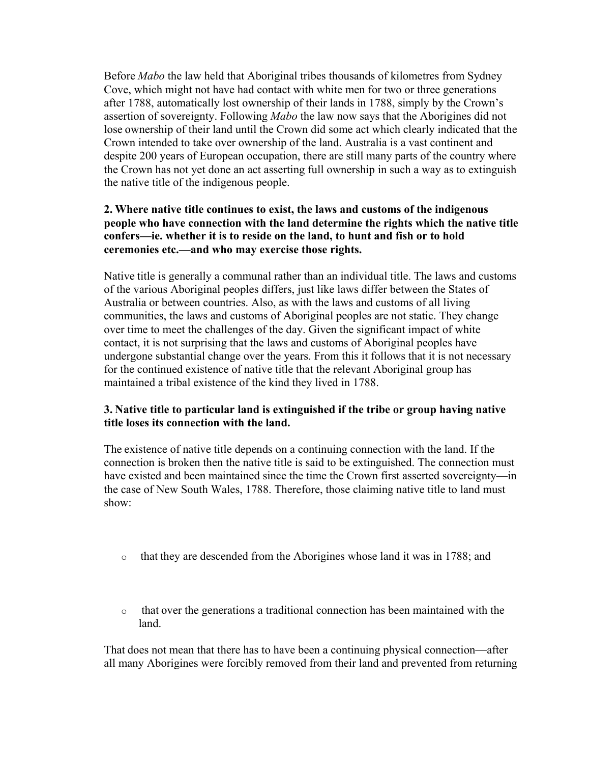Before *Mabo* the law held that Aboriginal tribes thousands of kilometres from Sydney Cove, which might not have had contact with white men for two or three generations after 1788, automatically lost ownership of their lands in 1788, simply by the Crown's assertion of sovereignty. Following *Mabo* the law now says that the Aborigines did not lose ownership of their land until the Crown did some act which clearly indicated that the Crown intended to take over ownership of the land. Australia is a vast continent and despite 200 years of European occupation, there are still many parts of the country where the Crown has not yet done an act asserting full ownership in such a way as to extinguish the native title of the indigenous people.

#### **2. Where native title continues to exist, the laws and customs of the indigenous people who have connection with the land determine the rights which the native title confers—ie. whether it is to reside on the land, to hunt and fish or to hold ceremonies etc.—and who may exercise those rights.**

Native title is generally a communal rather than an individual title. The laws and customs of the various Aboriginal peoples differs, just like laws differ between the States of Australia or between countries. Also, as with the laws and customs of all living communities, the laws and customs of Aboriginal peoples are not static. They change over time to meet the challenges of the day. Given the significant impact of white contact, it is not surprising that the laws and customs of Aboriginal peoples have undergone substantial change over the years. From this it follows that it is not necessary for the continued existence of native title that the relevant Aboriginal group has maintained a tribal existence of the kind they lived in 1788.

#### **3. Native title to particular land is extinguished if the tribe or group having native title loses its connection with the land.**

The existence of native title depends on a continuing connection with the land. If the connection is broken then the native title is said to be extinguished. The connection must have existed and been maintained since the time the Crown first asserted sovereignty—in the case of New South Wales, 1788. Therefore, those claiming native title to land must show:

- o that they are descended from the Aborigines whose land it was in 1788; and
- o that over the generations a traditional connection has been maintained with the land.

That does not mean that there has to have been a continuing physical connection—after all many Aborigines were forcibly removed from their land and prevented from returning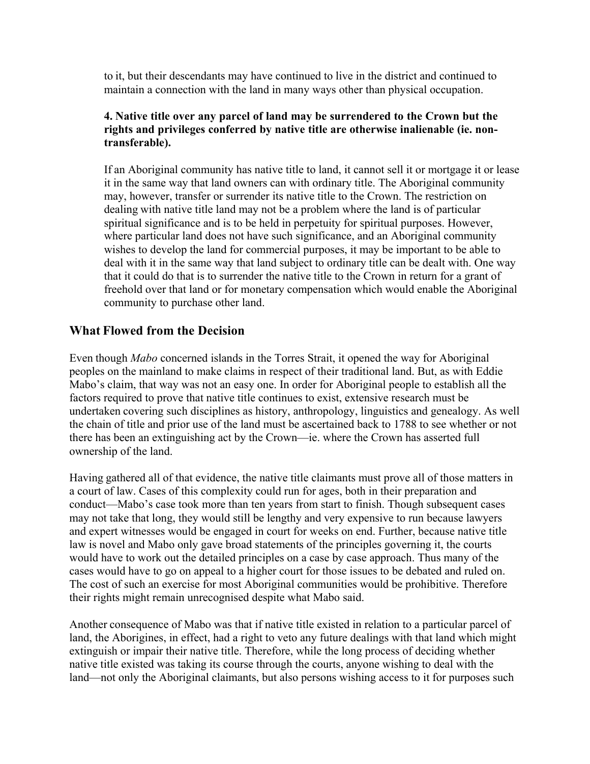to it, but their descendants may have continued to live in the district and continued to maintain a connection with the land in many ways other than physical occupation.

#### **4. Native title over any parcel of land may be surrendered to the Crown but the rights and privileges conferred by native title are otherwise inalienable (ie. nontransferable).**

If an Aboriginal community has native title to land, it cannot sell it or mortgage it or lease it in the same way that land owners can with ordinary title. The Aboriginal community may, however, transfer or surrender its native title to the Crown. The restriction on dealing with native title land may not be a problem where the land is of particular spiritual significance and is to be held in perpetuity for spiritual purposes. However, where particular land does not have such significance, and an Aboriginal community wishes to develop the land for commercial purposes, it may be important to be able to deal with it in the same way that land subject to ordinary title can be dealt with. One way that it could do that is to surrender the native title to the Crown in return for a grant of freehold over that land or for monetary compensation which would enable the Aboriginal community to purchase other land.

### **What Flowed from the Decision**

Even though *Mabo* concerned islands in the Torres Strait, it opened the way for Aboriginal peoples on the mainland to make claims in respect of their traditional land. But, as with Eddie Mabo's claim, that way was not an easy one. In order for Aboriginal people to establish all the factors required to prove that native title continues to exist, extensive research must be undertaken covering such disciplines as history, anthropology, linguistics and genealogy. As well the chain of title and prior use of the land must be ascertained back to 1788 to see whether or not there has been an extinguishing act by the Crown—ie. where the Crown has asserted full ownership of the land.

Having gathered all of that evidence, the native title claimants must prove all of those matters in a court of law. Cases of this complexity could run for ages, both in their preparation and conduct—Mabo's case took more than ten years from start to finish. Though subsequent cases may not take that long, they would still be lengthy and very expensive to run because lawyers and expert witnesses would be engaged in court for weeks on end. Further, because native title law is novel and Mabo only gave broad statements of the principles governing it, the courts would have to work out the detailed principles on a case by case approach. Thus many of the cases would have to go on appeal to a higher court for those issues to be debated and ruled on. The cost of such an exercise for most Aboriginal communities would be prohibitive. Therefore their rights might remain unrecognised despite what Mabo said.

Another consequence of Mabo was that if native title existed in relation to a particular parcel of land, the Aborigines, in effect, had a right to veto any future dealings with that land which might extinguish or impair their native title. Therefore, while the long process of deciding whether native title existed was taking its course through the courts, anyone wishing to deal with the land—not only the Aboriginal claimants, but also persons wishing access to it for purposes such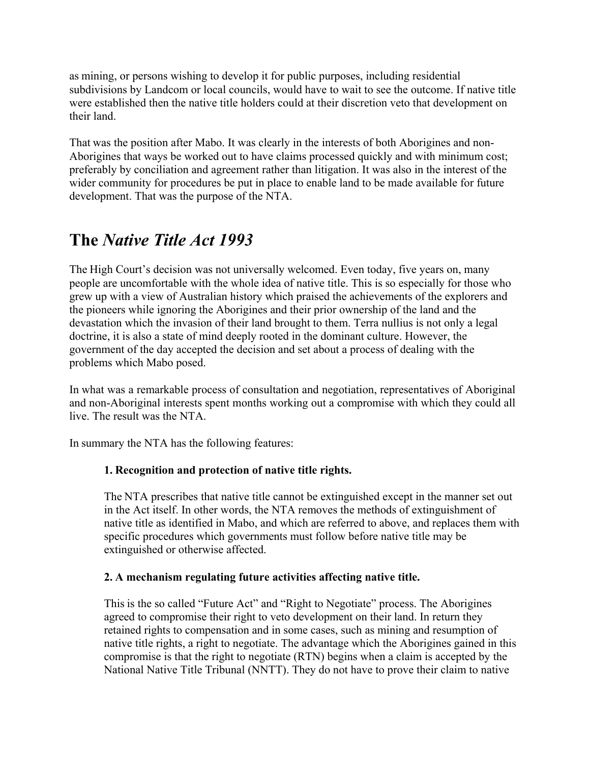as mining, or persons wishing to develop it for public purposes, including residential subdivisions by Landcom or local councils, would have to wait to see the outcome. If native title were established then the native title holders could at their discretion veto that development on their land.

That was the position after Mabo. It was clearly in the interests of both Aborigines and non-Aborigines that ways be worked out to have claims processed quickly and with minimum cost; preferably by conciliation and agreement rather than litigation. It was also in the interest of the wider community for procedures be put in place to enable land to be made available for future development. That was the purpose of the NTA.

# **The** *Native Title Act 1993*

The High Court's decision was not universally welcomed. Even today, five years on, many people are uncomfortable with the whole idea of native title. This is so especially for those who grew up with a view of Australian history which praised the achievements of the explorers and the pioneers while ignoring the Aborigines and their prior ownership of the land and the devastation which the invasion of their land brought to them. Terra nullius is not only a legal doctrine, it is also a state of mind deeply rooted in the dominant culture. However, the government of the day accepted the decision and set about a process of dealing with the problems which Mabo posed.

In what was a remarkable process of consultation and negotiation, representatives of Aboriginal and non-Aboriginal interests spent months working out a compromise with which they could all live. The result was the NTA.

In summary the NTA has the following features:

#### **1. Recognition and protection of native title rights.**

The NTA prescribes that native title cannot be extinguished except in the manner set out in the Act itself. In other words, the NTA removes the methods of extinguishment of native title as identified in Mabo, and which are referred to above, and replaces them with specific procedures which governments must follow before native title may be extinguished or otherwise affected.

#### **2. A mechanism regulating future activities affecting native title.**

This is the so called "Future Act" and "Right to Negotiate" process. The Aborigines agreed to compromise their right to veto development on their land. In return they retained rights to compensation and in some cases, such as mining and resumption of native title rights, a right to negotiate. The advantage which the Aborigines gained in this compromise is that the right to negotiate (RTN) begins when a claim is accepted by the National Native Title Tribunal (NNTT). They do not have to prove their claim to native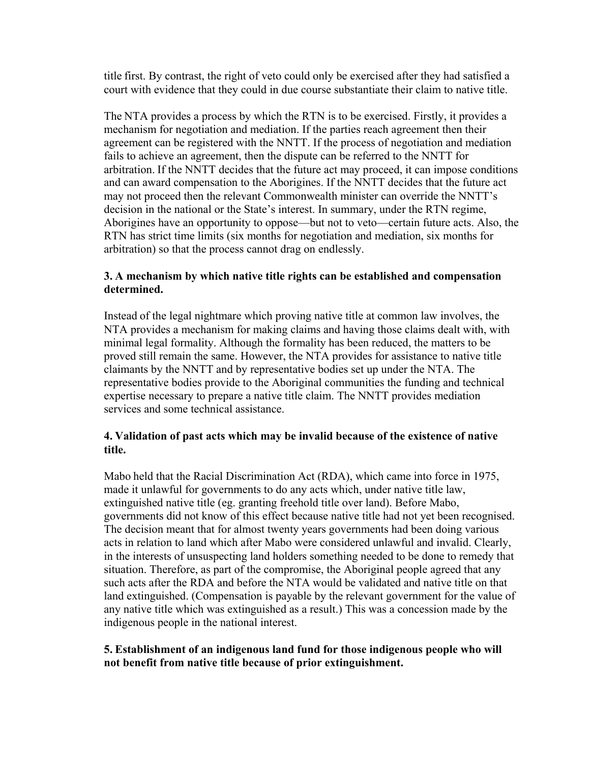title first. By contrast, the right of veto could only be exercised after they had satisfied a court with evidence that they could in due course substantiate their claim to native title.

The NTA provides a process by which the RTN is to be exercised. Firstly, it provides a mechanism for negotiation and mediation. If the parties reach agreement then their agreement can be registered with the NNTT. If the process of negotiation and mediation fails to achieve an agreement, then the dispute can be referred to the NNTT for arbitration. If the NNTT decides that the future act may proceed, it can impose conditions and can award compensation to the Aborigines. If the NNTT decides that the future act may not proceed then the relevant Commonwealth minister can override the NNTT's decision in the national or the State's interest. In summary, under the RTN regime, Aborigines have an opportunity to oppose—but not to veto—certain future acts. Also, the RTN has strict time limits (six months for negotiation and mediation, six months for arbitration) so that the process cannot drag on endlessly.

#### **3. A mechanism by which native title rights can be established and compensation determined.**

Instead of the legal nightmare which proving native title at common law involves, the NTA provides a mechanism for making claims and having those claims dealt with, with minimal legal formality. Although the formality has been reduced, the matters to be proved still remain the same. However, the NTA provides for assistance to native title claimants by the NNTT and by representative bodies set up under the NTA. The representative bodies provide to the Aboriginal communities the funding and technical expertise necessary to prepare a native title claim. The NNTT provides mediation services and some technical assistance.

#### **4. Validation of past acts which may be invalid because of the existence of native title.**

Mabo held that the Racial Discrimination Act (RDA), which came into force in 1975, made it unlawful for governments to do any acts which, under native title law, extinguished native title (eg. granting freehold title over land). Before Mabo, governments did not know of this effect because native title had not yet been recognised. The decision meant that for almost twenty years governments had been doing various acts in relation to land which after Mabo were considered unlawful and invalid. Clearly, in the interests of unsuspecting land holders something needed to be done to remedy that situation. Therefore, as part of the compromise, the Aboriginal people agreed that any such acts after the RDA and before the NTA would be validated and native title on that land extinguished. (Compensation is payable by the relevant government for the value of any native title which was extinguished as a result.) This was a concession made by the indigenous people in the national interest.

#### **5. Establishment of an indigenous land fund for those indigenous people who will not benefit from native title because of prior extinguishment.**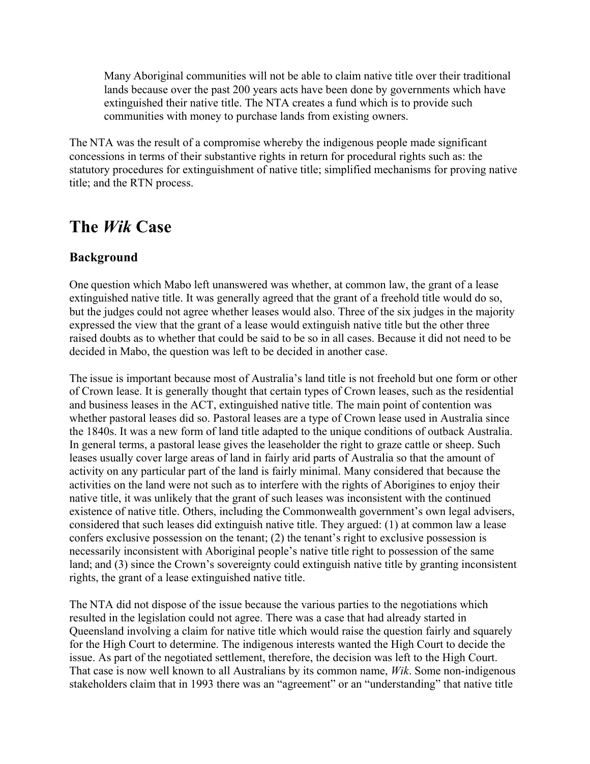Many Aboriginal communities will not be able to claim native title over their traditional lands because over the past 200 years acts have been done by governments which have extinguished their native title. The NTA creates a fund which is to provide such communities with money to purchase lands from existing owners.

The NTA was the result of a compromise whereby the indigenous people made significant concessions in terms of their substantive rights in return for procedural rights such as: the statutory procedures for extinguishment of native title; simplified mechanisms for proving native title; and the RTN process.

### **The** *Wik* **Case**

### **Background**

One question which Mabo left unanswered was whether, at common law, the grant of a lease extinguished native title. It was generally agreed that the grant of a freehold title would do so, but the judges could not agree whether leases would also. Three of the six judges in the majority expressed the view that the grant of a lease would extinguish native title but the other three raised doubts as to whether that could be said to be so in all cases. Because it did not need to be decided in Mabo, the question was left to be decided in another case.

The issue is important because most of Australia's land title is not freehold but one form or other of Crown lease. It is generally thought that certain types of Crown leases, such as the residential and business leases in the ACT, extinguished native title. The main point of contention was whether pastoral leases did so. Pastoral leases are a type of Crown lease used in Australia since the 1840s. It was a new form of land title adapted to the unique conditions of outback Australia. In general terms, a pastoral lease gives the leaseholder the right to graze cattle or sheep. Such leases usually cover large areas of land in fairly arid parts of Australia so that the amount of activity on any particular part of the land is fairly minimal. Many considered that because the activities on the land were not such as to interfere with the rights of Aborigines to enjoy their native title, it was unlikely that the grant of such leases was inconsistent with the continued existence of native title. Others, including the Commonwealth government's own legal advisers, considered that such leases did extinguish native title. They argued: (1) at common law a lease confers exclusive possession on the tenant; (2) the tenant's right to exclusive possession is necessarily inconsistent with Aboriginal people's native title right to possession of the same land; and (3) since the Crown's sovereignty could extinguish native title by granting inconsistent rights, the grant of a lease extinguished native title.

The NTA did not dispose of the issue because the various parties to the negotiations which resulted in the legislation could not agree. There was a case that had already started in Queensland involving a claim for native title which would raise the question fairly and squarely for the High Court to determine. The indigenous interests wanted the High Court to decide the issue. As part of the negotiated settlement, therefore, the decision was left to the High Court. That case is now well known to all Australians by its common name, *Wik*. Some non-indigenous stakeholders claim that in 1993 there was an "agreement" or an "understanding" that native title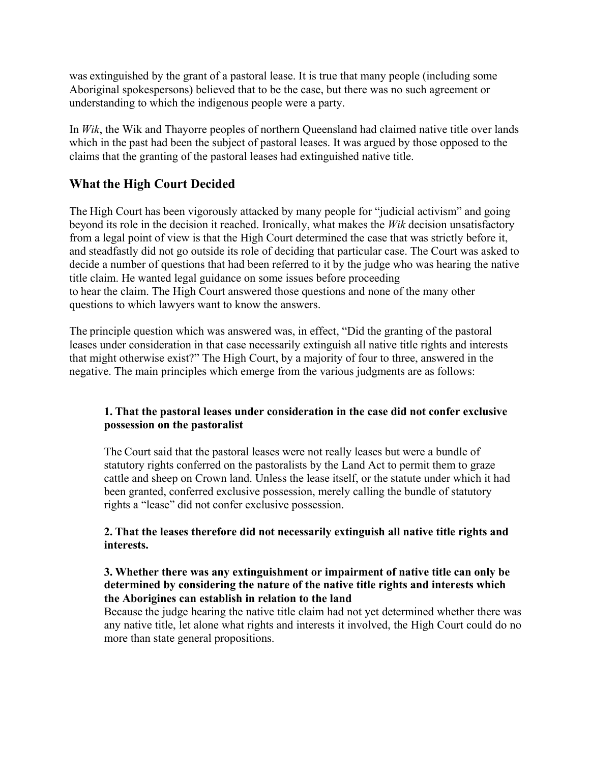was extinguished by the grant of a pastoral lease. It is true that many people (including some Aboriginal spokespersons) believed that to be the case, but there was no such agreement or understanding to which the indigenous people were a party.

In *Wik*, the Wik and Thayorre peoples of northern Queensland had claimed native title over lands which in the past had been the subject of pastoral leases. It was argued by those opposed to the claims that the granting of the pastoral leases had extinguished native title.

### **What the High Court Decided**

The High Court has been vigorously attacked by many people for "judicial activism" and going beyond its role in the decision it reached. Ironically, what makes the *Wik* decision unsatisfactory from a legal point of view is that the High Court determined the case that was strictly before it, and steadfastly did not go outside its role of deciding that particular case. The Court was asked to decide a number of questions that had been referred to it by the judge who was hearing the native title claim. He wanted legal guidance on some issues before proceeding to hear the claim. The High Court answered those questions and none of the many other questions to which lawyers want to know the answers.

The principle question which was answered was, in effect, "Did the granting of the pastoral leases under consideration in that case necessarily extinguish all native title rights and interests that might otherwise exist?" The High Court, by a majority of four to three, answered in the negative. The main principles which emerge from the various judgments are as follows:

#### **1. That the pastoral leases under consideration in the case did not confer exclusive possession on the pastoralist**

The Court said that the pastoral leases were not really leases but were a bundle of statutory rights conferred on the pastoralists by the Land Act to permit them to graze cattle and sheep on Crown land. Unless the lease itself, or the statute under which it had been granted, conferred exclusive possession, merely calling the bundle of statutory rights a "lease" did not confer exclusive possession.

#### **2. That the leases therefore did not necessarily extinguish all native title rights and interests.**

#### **3. Whether there was any extinguishment or impairment of native title can only be determined by considering the nature of the native title rights and interests which the Aborigines can establish in relation to the land**

Because the judge hearing the native title claim had not yet determined whether there was any native title, let alone what rights and interests it involved, the High Court could do no more than state general propositions.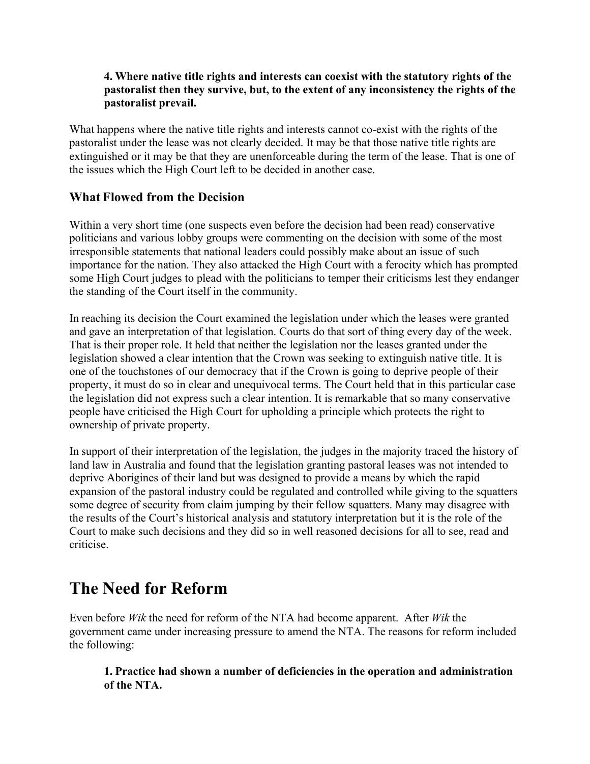#### **4. Where native title rights and interests can coexist with the statutory rights of the pastoralist then they survive, but, to the extent of any inconsistency the rights of the pastoralist prevail.**

What happens where the native title rights and interests cannot co-exist with the rights of the pastoralist under the lease was not clearly decided. It may be that those native title rights are extinguished or it may be that they are unenforceable during the term of the lease. That is one of the issues which the High Court left to be decided in another case.

### **What Flowed from the Decision**

Within a very short time (one suspects even before the decision had been read) conservative politicians and various lobby groups were commenting on the decision with some of the most irresponsible statements that national leaders could possibly make about an issue of such importance for the nation. They also attacked the High Court with a ferocity which has prompted some High Court judges to plead with the politicians to temper their criticisms lest they endanger the standing of the Court itself in the community.

In reaching its decision the Court examined the legislation under which the leases were granted and gave an interpretation of that legislation. Courts do that sort of thing every day of the week. That is their proper role. It held that neither the legislation nor the leases granted under the legislation showed a clear intention that the Crown was seeking to extinguish native title. It is one of the touchstones of our democracy that if the Crown is going to deprive people of their property, it must do so in clear and unequivocal terms. The Court held that in this particular case the legislation did not express such a clear intention. It is remarkable that so many conservative people have criticised the High Court for upholding a principle which protects the right to ownership of private property.

In support of their interpretation of the legislation, the judges in the majority traced the history of land law in Australia and found that the legislation granting pastoral leases was not intended to deprive Aborigines of their land but was designed to provide a means by which the rapid expansion of the pastoral industry could be regulated and controlled while giving to the squatters some degree of security from claim jumping by their fellow squatters. Many may disagree with the results of the Court's historical analysis and statutory interpretation but it is the role of the Court to make such decisions and they did so in well reasoned decisions for all to see, read and criticise.

# **The Need for Reform**

Even before *Wik* the need for reform of the NTA had become apparent. After *Wik* the government came under increasing pressure to amend the NTA. The reasons for reform included the following:

**1. Practice had shown a number of deficiencies in the operation and administration of the NTA.**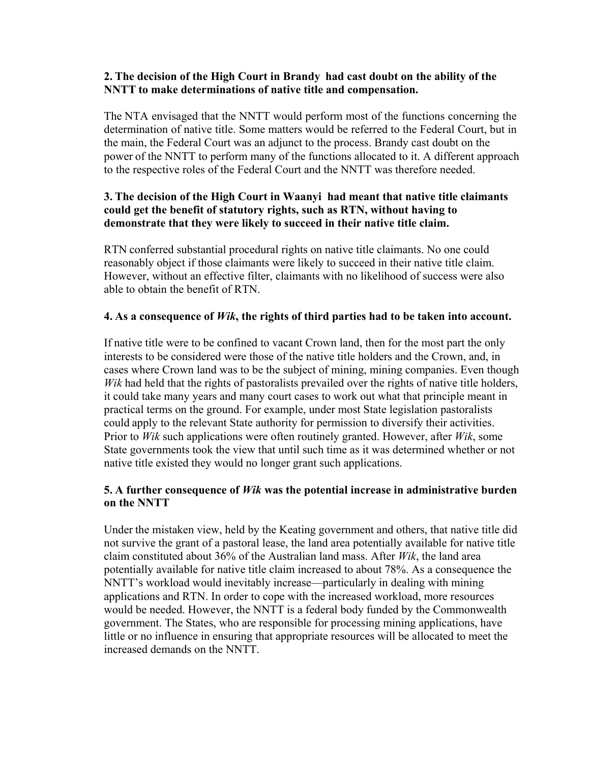#### **2. The decision of the High Court in Brandy had cast doubt on the ability of the NNTT to make determinations of native title and compensation.**

The NTA envisaged that the NNTT would perform most of the functions concerning the determination of native title. Some matters would be referred to the Federal Court, but in the main, the Federal Court was an adjunct to the process. Brandy cast doubt on the power of the NNTT to perform many of the functions allocated to it. A different approach to the respective roles of the Federal Court and the NNTT was therefore needed.

#### **3. The decision of the High Court in Waanyi had meant that native title claimants could get the benefit of statutory rights, such as RTN, without having to demonstrate that they were likely to succeed in their native title claim.**

RTN conferred substantial procedural rights on native title claimants. No one could reasonably object if those claimants were likely to succeed in their native title claim. However, without an effective filter, claimants with no likelihood of success were also able to obtain the benefit of RTN.

#### **4. As a consequence of** *Wik***, the rights of third parties had to be taken into account.**

If native title were to be confined to vacant Crown land, then for the most part the only interests to be considered were those of the native title holders and the Crown, and, in cases where Crown land was to be the subject of mining, mining companies. Even though *Wik* had held that the rights of pastoralists prevailed over the rights of native title holders, it could take many years and many court cases to work out what that principle meant in practical terms on the ground. For example, under most State legislation pastoralists could apply to the relevant State authority for permission to diversify their activities. Prior to *Wik* such applications were often routinely granted. However, after *Wik*, some State governments took the view that until such time as it was determined whether or not native title existed they would no longer grant such applications.

#### **5. A further consequence of** *Wik* **was the potential increase in administrative burden on the NNTT**

Under the mistaken view, held by the Keating government and others, that native title did not survive the grant of a pastoral lease, the land area potentially available for native title claim constituted about 36% of the Australian land mass. After *Wik*, the land area potentially available for native title claim increased to about 78%. As a consequence the NNTT's workload would inevitably increase—particularly in dealing with mining applications and RTN. In order to cope with the increased workload, more resources would be needed. However, the NNTT is a federal body funded by the Commonwealth government. The States, who are responsible for processing mining applications, have little or no influence in ensuring that appropriate resources will be allocated to meet the increased demands on the NNTT.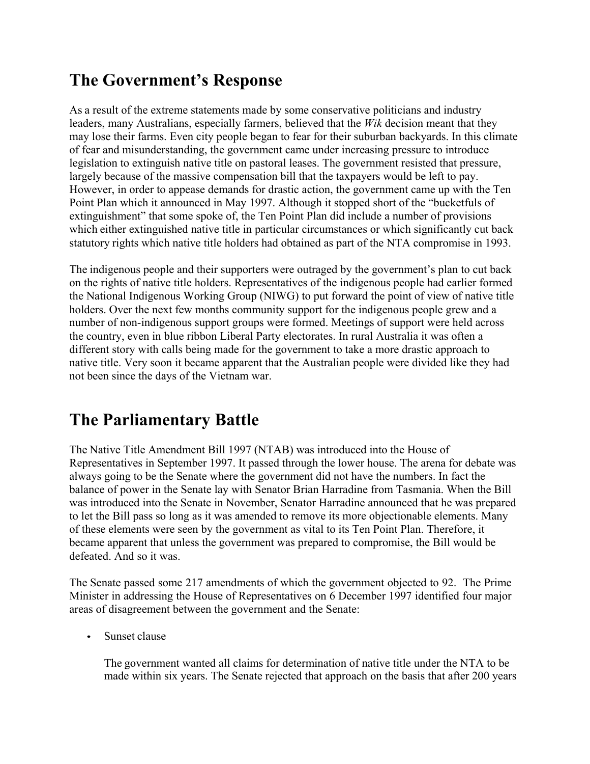# **The Government's Response**

As a result of the extreme statements made by some conservative politicians and industry leaders, many Australians, especially farmers, believed that the *Wik* decision meant that they may lose their farms. Even city people began to fear for their suburban backyards. In this climate of fear and misunderstanding, the government came under increasing pressure to introduce legislation to extinguish native title on pastoral leases. The government resisted that pressure, largely because of the massive compensation bill that the taxpayers would be left to pay. However, in order to appease demands for drastic action, the government came up with the Ten Point Plan which it announced in May 1997. Although it stopped short of the "bucketfuls of extinguishment" that some spoke of, the Ten Point Plan did include a number of provisions which either extinguished native title in particular circumstances or which significantly cut back statutory rights which native title holders had obtained as part of the NTA compromise in 1993.

The indigenous people and their supporters were outraged by the government's plan to cut back on the rights of native title holders. Representatives of the indigenous people had earlier formed the National Indigenous Working Group (NIWG) to put forward the point of view of native title holders. Over the next few months community support for the indigenous people grew and a number of non-indigenous support groups were formed. Meetings of support were held across the country, even in blue ribbon Liberal Party electorates. In rural Australia it was often a different story with calls being made for the government to take a more drastic approach to native title. Very soon it became apparent that the Australian people were divided like they had not been since the days of the Vietnam war.

# **The Parliamentary Battle**

The Native Title Amendment Bill 1997 (NTAB) was introduced into the House of Representatives in September 1997. It passed through the lower house. The arena for debate was always going to be the Senate where the government did not have the numbers. In fact the balance of power in the Senate lay with Senator Brian Harradine from Tasmania. When the Bill was introduced into the Senate in November, Senator Harradine announced that he was prepared to let the Bill pass so long as it was amended to remove its more objectionable elements. Many of these elements were seen by the government as vital to its Ten Point Plan. Therefore, it became apparent that unless the government was prepared to compromise, the Bill would be defeated. And so it was.

The Senate passed some 217 amendments of which the government objected to 92. The Prime Minister in addressing the House of Representatives on 6 December 1997 identified four major areas of disagreement between the government and the Senate:

Sunset clause

The government wanted all claims for determination of native title under the NTA to be made within six years. The Senate rejected that approach on the basis that after 200 years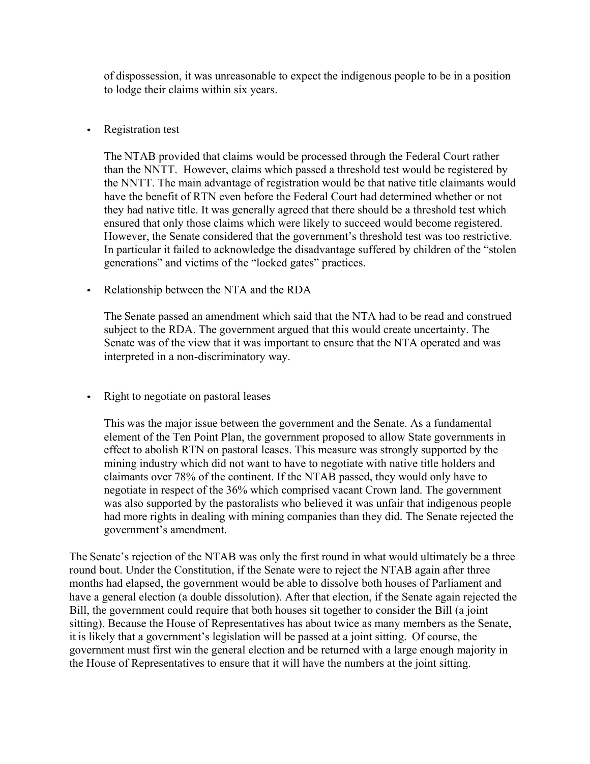of dispossession, it was unreasonable to expect the indigenous people to be in a position to lodge their claims within six years.

#### • Registration test

The NTAB provided that claims would be processed through the Federal Court rather than the NNTT. However, claims which passed a threshold test would be registered by the NNTT. The main advantage of registration would be that native title claimants would have the benefit of RTN even before the Federal Court had determined whether or not they had native title. It was generally agreed that there should be a threshold test which ensured that only those claims which were likely to succeed would become registered. However, the Senate considered that the government's threshold test was too restrictive. In particular it failed to acknowledge the disadvantage suffered by children of the "stolen generations" and victims of the "locked gates" practices.

#### • Relationship between the NTA and the RDA

The Senate passed an amendment which said that the NTA had to be read and construed subject to the RDA. The government argued that this would create uncertainty. The Senate was of the view that it was important to ensure that the NTA operated and was interpreted in a non-discriminatory way.

• Right to negotiate on pastoral leases

This was the major issue between the government and the Senate. As a fundamental element of the Ten Point Plan, the government proposed to allow State governments in effect to abolish RTN on pastoral leases. This measure was strongly supported by the mining industry which did not want to have to negotiate with native title holders and claimants over 78% of the continent. If the NTAB passed, they would only have to negotiate in respect of the 36% which comprised vacant Crown land. The government was also supported by the pastoralists who believed it was unfair that indigenous people had more rights in dealing with mining companies than they did. The Senate rejected the government's amendment.

The Senate's rejection of the NTAB was only the first round in what would ultimately be a three round bout. Under the Constitution, if the Senate were to reject the NTAB again after three months had elapsed, the government would be able to dissolve both houses of Parliament and have a general election (a double dissolution). After that election, if the Senate again rejected the Bill, the government could require that both houses sit together to consider the Bill (a joint sitting). Because the House of Representatives has about twice as many members as the Senate, it is likely that a government's legislation will be passed at a joint sitting. Of course, the government must first win the general election and be returned with a large enough majority in the House of Representatives to ensure that it will have the numbers at the joint sitting.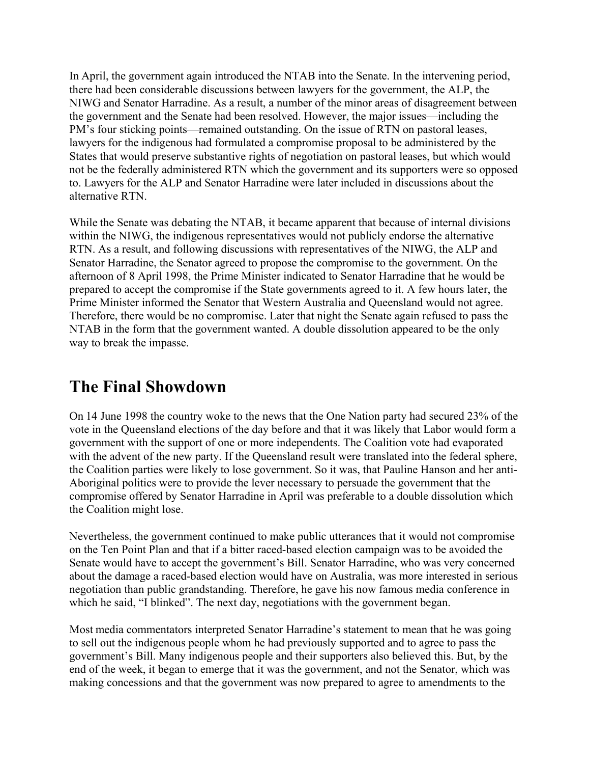In April, the government again introduced the NTAB into the Senate. In the intervening period, there had been considerable discussions between lawyers for the government, the ALP, the NIWG and Senator Harradine. As a result, a number of the minor areas of disagreement between the government and the Senate had been resolved. However, the major issues—including the PM's four sticking points—remained outstanding. On the issue of RTN on pastoral leases, lawyers for the indigenous had formulated a compromise proposal to be administered by the States that would preserve substantive rights of negotiation on pastoral leases, but which would not be the federally administered RTN which the government and its supporters were so opposed to. Lawyers for the ALP and Senator Harradine were later included in discussions about the alternative RTN.

While the Senate was debating the NTAB, it became apparent that because of internal divisions within the NIWG, the indigenous representatives would not publicly endorse the alternative RTN. As a result, and following discussions with representatives of the NIWG, the ALP and Senator Harradine, the Senator agreed to propose the compromise to the government. On the afternoon of 8 April 1998, the Prime Minister indicated to Senator Harradine that he would be prepared to accept the compromise if the State governments agreed to it. A few hours later, the Prime Minister informed the Senator that Western Australia and Queensland would not agree. Therefore, there would be no compromise. Later that night the Senate again refused to pass the NTAB in the form that the government wanted. A double dissolution appeared to be the only way to break the impasse.

# **The Final Showdown**

On 14 June 1998 the country woke to the news that the One Nation party had secured 23% of the vote in the Queensland elections of the day before and that it was likely that Labor would form a government with the support of one or more independents. The Coalition vote had evaporated with the advent of the new party. If the Queensland result were translated into the federal sphere, the Coalition parties were likely to lose government. So it was, that Pauline Hanson and her anti-Aboriginal politics were to provide the lever necessary to persuade the government that the compromise offered by Senator Harradine in April was preferable to a double dissolution which the Coalition might lose.

Nevertheless, the government continued to make public utterances that it would not compromise on the Ten Point Plan and that if a bitter raced-based election campaign was to be avoided the Senate would have to accept the government's Bill. Senator Harradine, who was very concerned about the damage a raced-based election would have on Australia, was more interested in serious negotiation than public grandstanding. Therefore, he gave his now famous media conference in which he said, "I blinked". The next day, negotiations with the government began.

Most media commentators interpreted Senator Harradine's statement to mean that he was going to sell out the indigenous people whom he had previously supported and to agree to pass the government's Bill. Many indigenous people and their supporters also believed this. But, by the end of the week, it began to emerge that it was the government, and not the Senator, which was making concessions and that the government was now prepared to agree to amendments to the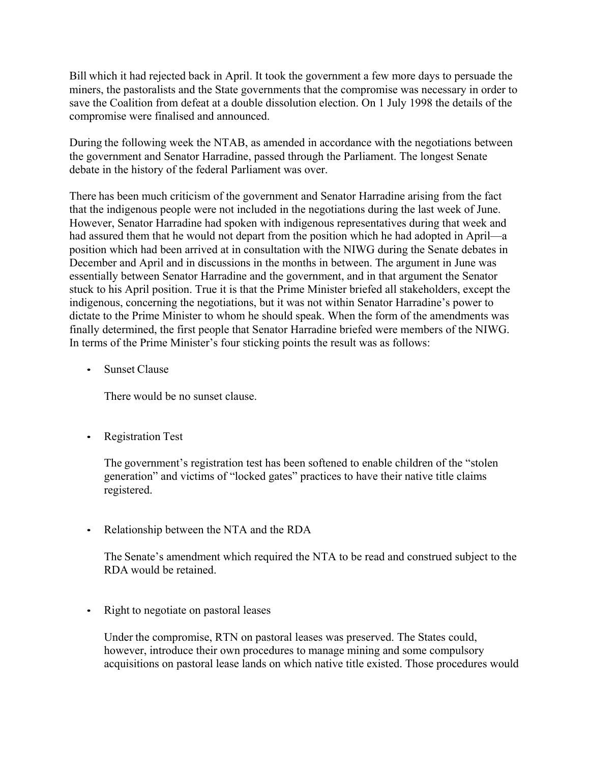Bill which it had rejected back in April. It took the government a few more days to persuade the miners, the pastoralists and the State governments that the compromise was necessary in order to save the Coalition from defeat at a double dissolution election. On 1 July 1998 the details of the compromise were finalised and announced.

During the following week the NTAB, as amended in accordance with the negotiations between the government and Senator Harradine, passed through the Parliament. The longest Senate debate in the history of the federal Parliament was over.

There has been much criticism of the government and Senator Harradine arising from the fact that the indigenous people were not included in the negotiations during the last week of June. However, Senator Harradine had spoken with indigenous representatives during that week and had assured them that he would not depart from the position which he had adopted in April—a position which had been arrived at in consultation with the NIWG during the Senate debates in December and April and in discussions in the months in between. The argument in June was essentially between Senator Harradine and the government, and in that argument the Senator stuck to his April position. True it is that the Prime Minister briefed all stakeholders, except the indigenous, concerning the negotiations, but it was not within Senator Harradine's power to dictate to the Prime Minister to whom he should speak. When the form of the amendments was finally determined, the first people that Senator Harradine briefed were members of the NIWG. In terms of the Prime Minister's four sticking points the result was as follows:

• Sunset Clause

There would be no sunset clause.

• Registration Test

The government's registration test has been softened to enable children of the "stolen generation" and victims of "locked gates" practices to have their native title claims registered.

• Relationship between the NTA and the RDA

The Senate's amendment which required the NTA to be read and construed subject to the RDA would be retained.

• Right to negotiate on pastoral leases

Under the compromise, RTN on pastoral leases was preserved. The States could, however, introduce their own procedures to manage mining and some compulsory acquisitions on pastoral lease lands on which native title existed. Those procedures would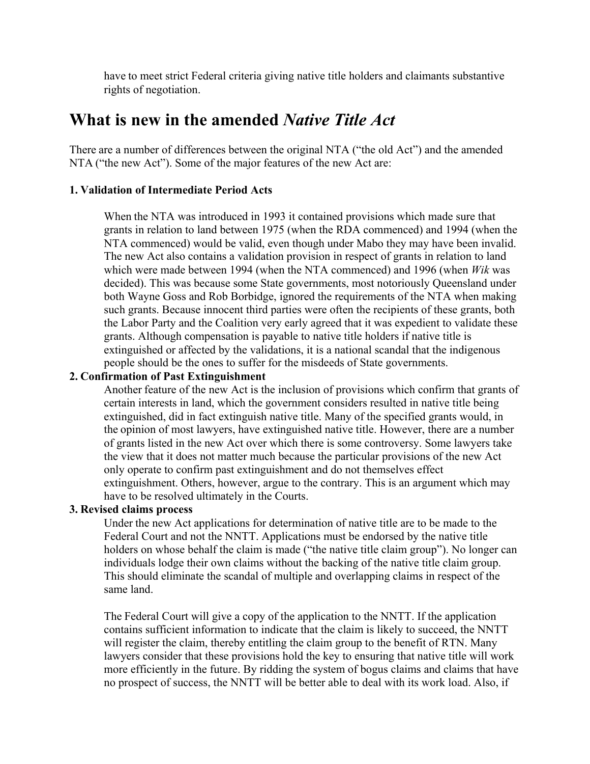have to meet strict Federal criteria giving native title holders and claimants substantive rights of negotiation.

### **What is new in the amended** *Native Title Act*

There are a number of differences between the original NTA ("the old Act") and the amended NTA ("the new Act"). Some of the major features of the new Act are:

#### **1. Validation of Intermediate Period Acts**

When the NTA was introduced in 1993 it contained provisions which made sure that grants in relation to land between 1975 (when the RDA commenced) and 1994 (when the NTA commenced) would be valid, even though under Mabo they may have been invalid. The new Act also contains a validation provision in respect of grants in relation to land which were made between 1994 (when the NTA commenced) and 1996 (when *Wik* was decided). This was because some State governments, most notoriously Queensland under both Wayne Goss and Rob Borbidge, ignored the requirements of the NTA when making such grants. Because innocent third parties were often the recipients of these grants, both the Labor Party and the Coalition very early agreed that it was expedient to validate these grants. Although compensation is payable to native title holders if native title is extinguished or affected by the validations, it is a national scandal that the indigenous people should be the ones to suffer for the misdeeds of State governments.

#### **2. Confirmation of Past Extinguishment**

Another feature of the new Act is the inclusion of provisions which confirm that grants of certain interests in land, which the government considers resulted in native title being extinguished, did in fact extinguish native title. Many of the specified grants would, in the opinion of most lawyers, have extinguished native title. However, there are a number of grants listed in the new Act over which there is some controversy. Some lawyers take the view that it does not matter much because the particular provisions of the new Act only operate to confirm past extinguishment and do not themselves effect extinguishment. Others, however, argue to the contrary. This is an argument which may have to be resolved ultimately in the Courts.

#### **3. Revised claims process**

Under the new Act applications for determination of native title are to be made to the Federal Court and not the NNTT. Applications must be endorsed by the native title holders on whose behalf the claim is made ("the native title claim group"). No longer can individuals lodge their own claims without the backing of the native title claim group. This should eliminate the scandal of multiple and overlapping claims in respect of the same land.

The Federal Court will give a copy of the application to the NNTT. If the application contains sufficient information to indicate that the claim is likely to succeed, the NNTT will register the claim, thereby entitling the claim group to the benefit of RTN. Many lawyers consider that these provisions hold the key to ensuring that native title will work more efficiently in the future. By ridding the system of bogus claims and claims that have no prospect of success, the NNTT will be better able to deal with its work load. Also, if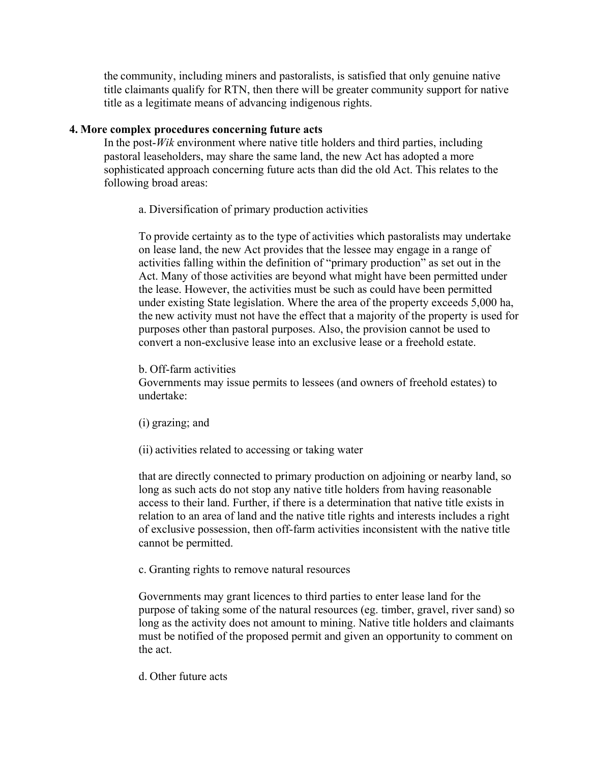the community, including miners and pastoralists, is satisfied that only genuine native title claimants qualify for RTN, then there will be greater community support for native title as a legitimate means of advancing indigenous rights.

#### **4. More complex procedures concerning future acts**

In the post-*Wik* environment where native title holders and third parties, including pastoral leaseholders, may share the same land, the new Act has adopted a more sophisticated approach concerning future acts than did the old Act. This relates to the following broad areas:

a. Diversification of primary production activities

To provide certainty as to the type of activities which pastoralists may undertake on lease land, the new Act provides that the lessee may engage in a range of activities falling within the definition of "primary production" as set out in the Act. Many of those activities are beyond what might have been permitted under the lease. However, the activities must be such as could have been permitted under existing State legislation. Where the area of the property exceeds 5,000 ha, the new activity must not have the effect that a majority of the property is used for purposes other than pastoral purposes. Also, the provision cannot be used to convert a non-exclusive lease into an exclusive lease or a freehold estate.

#### b. Off-farm activities

Governments may issue permits to lessees (and owners of freehold estates) to undertake:

(i) grazing; and

(ii) activities related to accessing or taking water

that are directly connected to primary production on adjoining or nearby land, so long as such acts do not stop any native title holders from having reasonable access to their land. Further, if there is a determination that native title exists in relation to an area of land and the native title rights and interests includes a right of exclusive possession, then off-farm activities inconsistent with the native title cannot be permitted.

c. Granting rights to remove natural resources

Governments may grant licences to third parties to enter lease land for the purpose of taking some of the natural resources (eg. timber, gravel, river sand) so long as the activity does not amount to mining. Native title holders and claimants must be notified of the proposed permit and given an opportunity to comment on the act.

d. Other future acts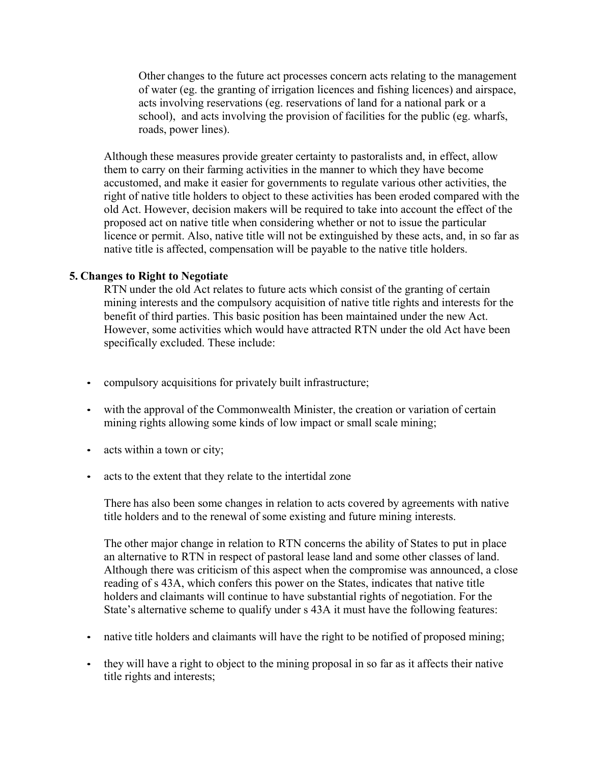Other changes to the future act processes concern acts relating to the management of water (eg. the granting of irrigation licences and fishing licences) and airspace, acts involving reservations (eg. reservations of land for a national park or a school), and acts involving the provision of facilities for the public (eg. wharfs, roads, power lines).

Although these measures provide greater certainty to pastoralists and, in effect, allow them to carry on their farming activities in the manner to which they have become accustomed, and make it easier for governments to regulate various other activities, the right of native title holders to object to these activities has been eroded compared with the old Act. However, decision makers will be required to take into account the effect of the proposed act on native title when considering whether or not to issue the particular licence or permit. Also, native title will not be extinguished by these acts, and, in so far as native title is affected, compensation will be payable to the native title holders.

#### **5. Changes to Right to Negotiate**

RTN under the old Act relates to future acts which consist of the granting of certain mining interests and the compulsory acquisition of native title rights and interests for the benefit of third parties. This basic position has been maintained under the new Act. However, some activities which would have attracted RTN under the old Act have been specifically excluded. These include:

- compulsory acquisitions for privately built infrastructure;
- with the approval of the Commonwealth Minister, the creation or variation of certain mining rights allowing some kinds of low impact or small scale mining;
- acts within a town or city;
- acts to the extent that they relate to the intertidal zone

There has also been some changes in relation to acts covered by agreements with native title holders and to the renewal of some existing and future mining interests.

The other major change in relation to RTN concerns the ability of States to put in place an alternative to RTN in respect of pastoral lease land and some other classes of land. Although there was criticism of this aspect when the compromise was announced, a close reading of s 43A, which confers this power on the States, indicates that native title holders and claimants will continue to have substantial rights of negotiation. For the State's alternative scheme to qualify under s 43A it must have the following features:

- native title holders and claimants will have the right to be notified of proposed mining;
- they will have a right to object to the mining proposal in so far as it affects their native title rights and interests;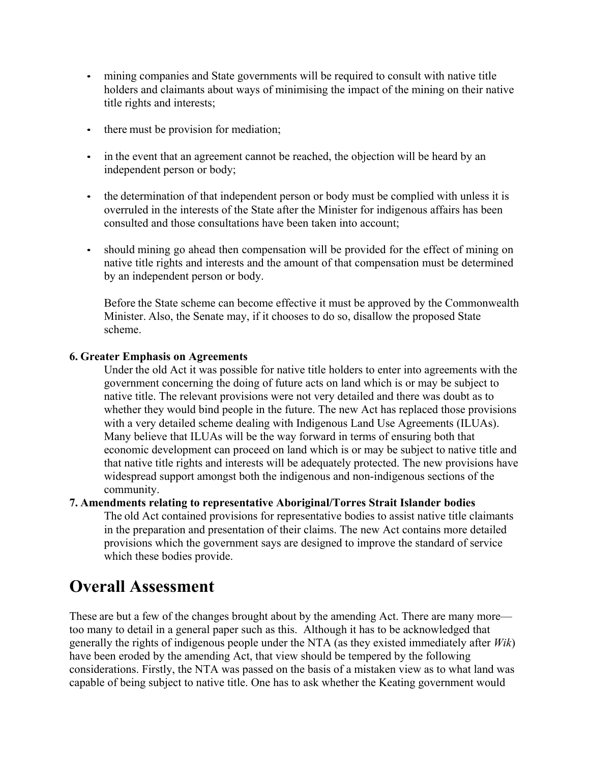- mining companies and State governments will be required to consult with native title holders and claimants about ways of minimising the impact of the mining on their native title rights and interests;
- there must be provision for mediation;
- in the event that an agreement cannot be reached, the objection will be heard by an independent person or body;
- the determination of that independent person or body must be complied with unless it is overruled in the interests of the State after the Minister for indigenous affairs has been consulted and those consultations have been taken into account;
- should mining go ahead then compensation will be provided for the effect of mining on native title rights and interests and the amount of that compensation must be determined by an independent person or body.

Before the State scheme can become effective it must be approved by the Commonwealth Minister. Also, the Senate may, if it chooses to do so, disallow the proposed State scheme.

### **6. Greater Emphasis on Agreements**

Under the old Act it was possible for native title holders to enter into agreements with the government concerning the doing of future acts on land which is or may be subject to native title. The relevant provisions were not very detailed and there was doubt as to whether they would bind people in the future. The new Act has replaced those provisions with a very detailed scheme dealing with Indigenous Land Use Agreements (ILUAs). Many believe that ILUAs will be the way forward in terms of ensuring both that economic development can proceed on land which is or may be subject to native title and that native title rights and interests will be adequately protected. The new provisions have widespread support amongst both the indigenous and non-indigenous sections of the community.

#### **7. Amendments relating to representative Aboriginal/Torres Strait Islander bodies**

The old Act contained provisions for representative bodies to assist native title claimants in the preparation and presentation of their claims. The new Act contains more detailed provisions which the government says are designed to improve the standard of service which these bodies provide.

### **Overall Assessment**

These are but a few of the changes brought about by the amending Act. There are many more too many to detail in a general paper such as this. Although it has to be acknowledged that generally the rights of indigenous people under the NTA (as they existed immediately after *Wik*) have been eroded by the amending Act, that view should be tempered by the following considerations. Firstly, the NTA was passed on the basis of a mistaken view as to what land was capable of being subject to native title. One has to ask whether the Keating government would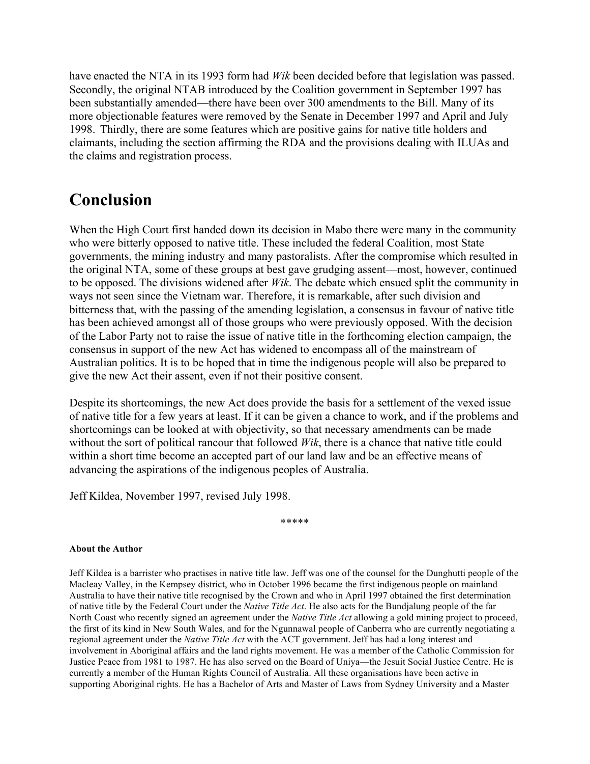have enacted the NTA in its 1993 form had *Wik* been decided before that legislation was passed. Secondly, the original NTAB introduced by the Coalition government in September 1997 has been substantially amended—there have been over 300 amendments to the Bill. Many of its more objectionable features were removed by the Senate in December 1997 and April and July 1998. Thirdly, there are some features which are positive gains for native title holders and claimants, including the section affirming the RDA and the provisions dealing with ILUAs and the claims and registration process.

### **Conclusion**

When the High Court first handed down its decision in Mabo there were many in the community who were bitterly opposed to native title. These included the federal Coalition, most State governments, the mining industry and many pastoralists. After the compromise which resulted in the original NTA, some of these groups at best gave grudging assent—most, however, continued to be opposed. The divisions widened after *Wik*. The debate which ensued split the community in ways not seen since the Vietnam war. Therefore, it is remarkable, after such division and bitterness that, with the passing of the amending legislation, a consensus in favour of native title has been achieved amongst all of those groups who were previously opposed. With the decision of the Labor Party not to raise the issue of native title in the forthcoming election campaign, the consensus in support of the new Act has widened to encompass all of the mainstream of Australian politics. It is to be hoped that in time the indigenous people will also be prepared to give the new Act their assent, even if not their positive consent.

Despite its shortcomings, the new Act does provide the basis for a settlement of the vexed issue of native title for a few years at least. If it can be given a chance to work, and if the problems and shortcomings can be looked at with objectivity, so that necessary amendments can be made without the sort of political rancour that followed *Wik*, there is a chance that native title could within a short time become an accepted part of our land law and be an effective means of advancing the aspirations of the indigenous peoples of Australia.

Jeff Kildea, November 1997, revised July 1998.

\*\*\*\*\*

#### **About the Author**

Jeff Kildea is a barrister who practises in native title law. Jeff was one of the counsel for the Dunghutti people of the Macleay Valley, in the Kempsey district, who in October 1996 became the first indigenous people on mainland Australia to have their native title recognised by the Crown and who in April 1997 obtained the first determination of native title by the Federal Court under the *Native Title Act*. He also acts for the Bundjalung people of the far North Coast who recently signed an agreement under the *Native Title Act* allowing a gold mining project to proceed, the first of its kind in New South Wales, and for the Ngunnawal people of Canberra who are currently negotiating a regional agreement under the *Native Title Act* with the ACT government. Jeff has had a long interest and involvement in Aboriginal affairs and the land rights movement. He was a member of the Catholic Commission for Justice Peace from 1981 to 1987. He has also served on the Board of Uniya—the Jesuit Social Justice Centre. He is currently a member of the Human Rights Council of Australia. All these organisations have been active in supporting Aboriginal rights. He has a Bachelor of Arts and Master of Laws from Sydney University and a Master